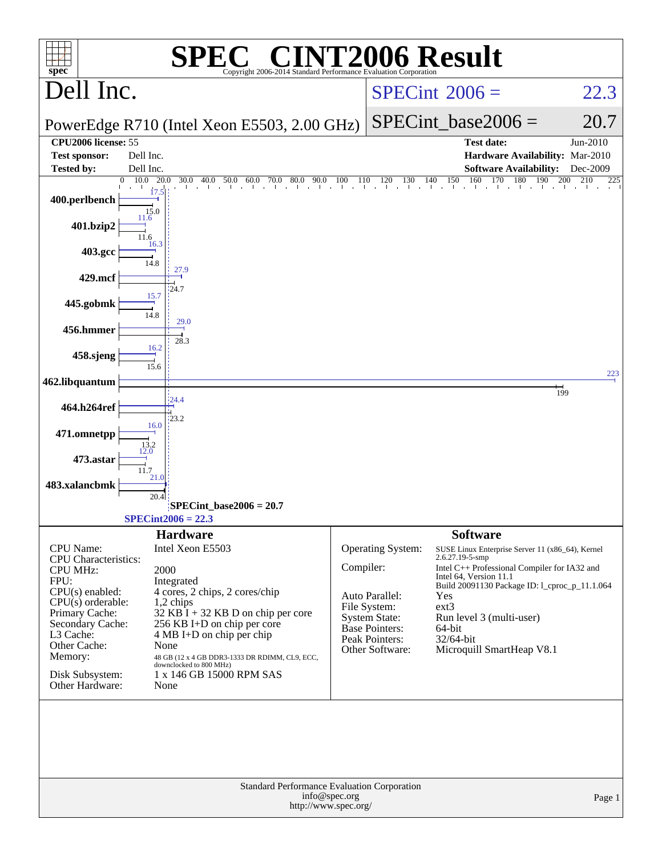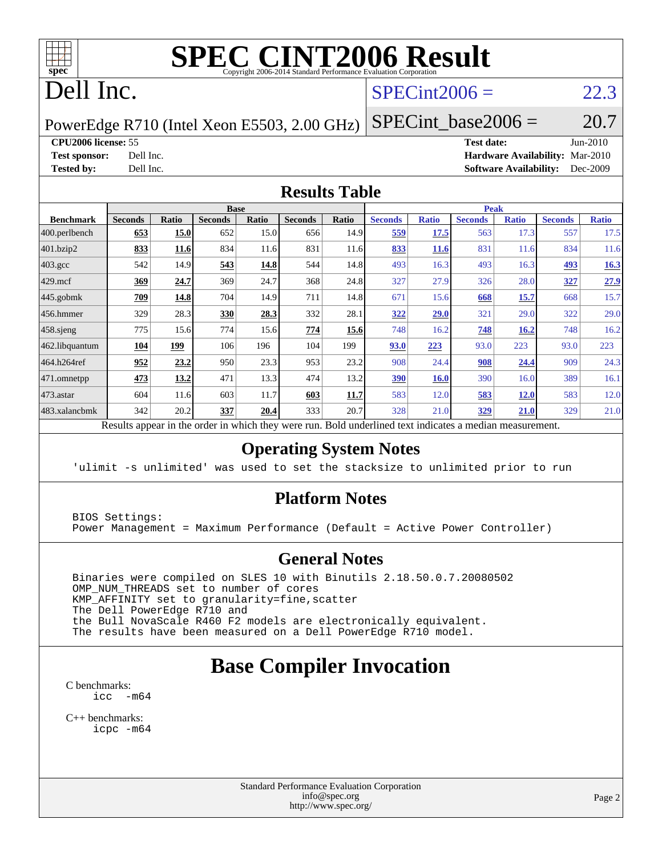

# **[SPEC CINT2006 Result](http://www.spec.org/auto/cpu2006/Docs/result-fields.html#SPECCINT2006Result)**

# Dell Inc.

## $SPECint2006 = 22.3$  $SPECint2006 = 22.3$

PowerEdge R710 (Intel Xeon E5503, 2.00 GHz)

**[CPU2006 license:](http://www.spec.org/auto/cpu2006/Docs/result-fields.html#CPU2006license)** 55 **[Test date:](http://www.spec.org/auto/cpu2006/Docs/result-fields.html#Testdate)** Jun-2010

**[Test sponsor:](http://www.spec.org/auto/cpu2006/Docs/result-fields.html#Testsponsor)** Dell Inc. **[Hardware Availability:](http://www.spec.org/auto/cpu2006/Docs/result-fields.html#HardwareAvailability)** Mar-2010 **[Tested by:](http://www.spec.org/auto/cpu2006/Docs/result-fields.html#Testedby)** Dell Inc. **[Software Availability:](http://www.spec.org/auto/cpu2006/Docs/result-fields.html#SoftwareAvailability)** Dec-2009

 $SPECTnt\_base2006 = 20.7$ 

#### **[Results Table](http://www.spec.org/auto/cpu2006/Docs/result-fields.html#ResultsTable)**

|                    |                |            | <b>Base</b>    |              |                |       |                |              |                | <b>Peak</b>  |                |              |
|--------------------|----------------|------------|----------------|--------------|----------------|-------|----------------|--------------|----------------|--------------|----------------|--------------|
| <b>Benchmark</b>   | <b>Seconds</b> | Ratio      | <b>Seconds</b> | <b>Ratio</b> | <b>Seconds</b> | Ratio | <b>Seconds</b> | <b>Ratio</b> | <b>Seconds</b> | <b>Ratio</b> | <b>Seconds</b> | <b>Ratio</b> |
| 400.perlbench      | 653            | 15.0       | 652            | 15.0         | 656            | 14.9  | 559            | 17.5         | 563            | 17.3         | 557            | 17.5         |
| 401.bzip2          | 833            | 11.6       | 834            | 11.6         | 831            | 11.6  | 833            | <b>11.6</b>  | 831            | 11.6         | 834            | 11.6         |
| $403.\mathrm{gcc}$ | 542            | 14.9       | 543            | 14.8         | 544            | 14.8  | 493            | 16.3         | 493            | 16.3         | 493            | 16.3         |
| $429$ .mcf         | 369            | 24.7       | 369            | 24.7         | 368            | 24.8  | 327            | 27.9         | 326            | 28.0         | 327            | 27.9         |
| $445$ .gobmk       | 709            | 14.8       | 704            | 14.9         | 711            | 14.8  | 671            | 15.6         | 668            | 15.7         | 668            | 15.7         |
| $456.$ hmmer       | 329            | 28.3       | 330            | 28.3         | 332            | 28.1  | 322            | 29.0         | 321            | 29.0         | 322            | 29.0         |
| $458$ .sjeng       | 775            | 15.6       | 774            | 15.6         | 774            | 15.6  | 748            | 16.2         | 748            | 16.2         | 748            | 16.2         |
| 462.libquantum     | 104            | <u>199</u> | 106            | 196          | 104            | 199   | 93.0           | 223          | 93.0           | 223          | 93.0           | 223          |
| 464.h264ref        | 952            | 23.2       | 950            | 23.3         | 953            | 23.2  | 908            | 24.4         | 908            | 24.4         | 909            | 24.3         |
| 471.omnetpp        | 473            | 13.2       | 471            | 13.3         | 474            | 13.2  | 390            | <b>16.0</b>  | 390            | 16.0         | 389            | 16.1         |
| $473$ . astar      | 604            | 11.6       | 603            | 11.7         | 603            | 11.7  | 583            | 12.0         | 583            | <b>12.0</b>  | 583            | 12.0         |
| 483.xalancbmk      | 342            | 20.2       | 337            | 20.4         | 333            | 20.7  | 328            | 21.0         | 329            | 21.0         | 329            | 21.0         |

Results appear in the [order in which they were run.](http://www.spec.org/auto/cpu2006/Docs/result-fields.html#RunOrder) Bold underlined text [indicates a median measurement.](http://www.spec.org/auto/cpu2006/Docs/result-fields.html#Median)

#### **[Operating System Notes](http://www.spec.org/auto/cpu2006/Docs/result-fields.html#OperatingSystemNotes)**

'ulimit -s unlimited' was used to set the stacksize to unlimited prior to run

#### **[Platform Notes](http://www.spec.org/auto/cpu2006/Docs/result-fields.html#PlatformNotes)**

 BIOS Settings: Power Management = Maximum Performance (Default = Active Power Controller)

#### **[General Notes](http://www.spec.org/auto/cpu2006/Docs/result-fields.html#GeneralNotes)**

 Binaries were compiled on SLES 10 with Binutils 2.18.50.0.7.20080502 OMP\_NUM\_THREADS set to number of cores KMP\_AFFINITY set to granularity=fine,scatter The Dell PowerEdge R710 and the Bull NovaScale R460 F2 models are electronically equivalent. The results have been measured on a Dell PowerEdge R710 model.

### **[Base Compiler Invocation](http://www.spec.org/auto/cpu2006/Docs/result-fields.html#BaseCompilerInvocation)**

[C benchmarks](http://www.spec.org/auto/cpu2006/Docs/result-fields.html#Cbenchmarks): [icc -m64](http://www.spec.org/cpu2006/results/res2010q3/cpu2006-20100702-12161.flags.html#user_CCbase_intel_icc_64bit_f346026e86af2a669e726fe758c88044)

[C++ benchmarks:](http://www.spec.org/auto/cpu2006/Docs/result-fields.html#CXXbenchmarks) [icpc -m64](http://www.spec.org/cpu2006/results/res2010q3/cpu2006-20100702-12161.flags.html#user_CXXbase_intel_icpc_64bit_fc66a5337ce925472a5c54ad6a0de310)

> Standard Performance Evaluation Corporation [info@spec.org](mailto:info@spec.org) <http://www.spec.org/>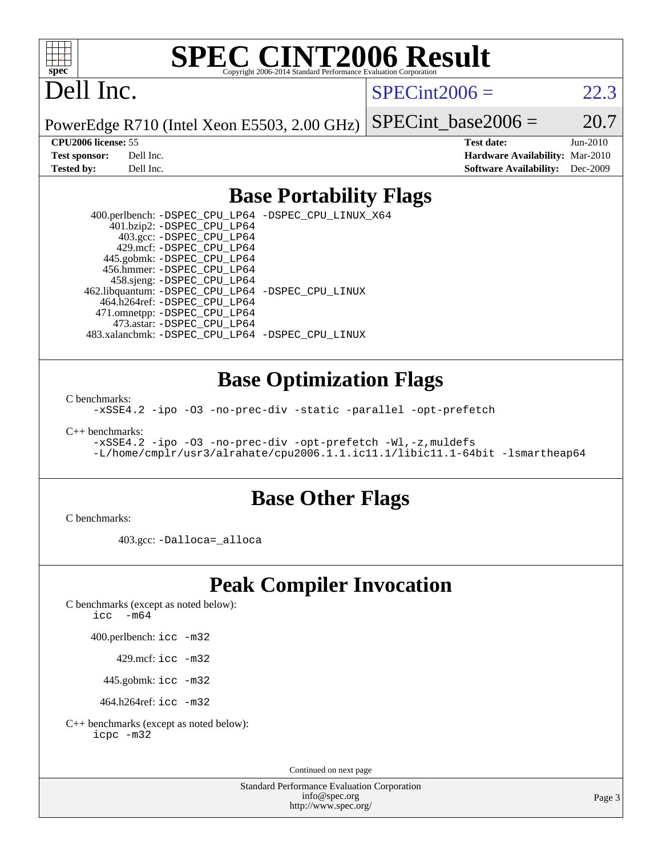

# **[SPEC CINT2006 Result](http://www.spec.org/auto/cpu2006/Docs/result-fields.html#SPECCINT2006Result)**

# Dell Inc.

 $SPECint2006 = 22.3$  $SPECint2006 = 22.3$ 

PowerEdge R710 (Intel Xeon E5503, 2.00 GHz) SPECint base2006 =  $20.7$ 

**[CPU2006 license:](http://www.spec.org/auto/cpu2006/Docs/result-fields.html#CPU2006license)** 55 **[Test date:](http://www.spec.org/auto/cpu2006/Docs/result-fields.html#Testdate)** Jun-2010 **[Test sponsor:](http://www.spec.org/auto/cpu2006/Docs/result-fields.html#Testsponsor)** Dell Inc. **[Hardware Availability:](http://www.spec.org/auto/cpu2006/Docs/result-fields.html#HardwareAvailability)** Mar-2010 **[Tested by:](http://www.spec.org/auto/cpu2006/Docs/result-fields.html#Testedby)** Dell Inc. **[Software Availability:](http://www.spec.org/auto/cpu2006/Docs/result-fields.html#SoftwareAvailability)** Dec-2009

#### **[Base Portability Flags](http://www.spec.org/auto/cpu2006/Docs/result-fields.html#BasePortabilityFlags)**

 400.perlbench: [-DSPEC\\_CPU\\_LP64](http://www.spec.org/cpu2006/results/res2010q3/cpu2006-20100702-12161.flags.html#b400.perlbench_basePORTABILITY_DSPEC_CPU_LP64) [-DSPEC\\_CPU\\_LINUX\\_X64](http://www.spec.org/cpu2006/results/res2010q3/cpu2006-20100702-12161.flags.html#b400.perlbench_baseCPORTABILITY_DSPEC_CPU_LINUX_X64) 401.bzip2: [-DSPEC\\_CPU\\_LP64](http://www.spec.org/cpu2006/results/res2010q3/cpu2006-20100702-12161.flags.html#suite_basePORTABILITY401_bzip2_DSPEC_CPU_LP64) 403.gcc: [-DSPEC\\_CPU\\_LP64](http://www.spec.org/cpu2006/results/res2010q3/cpu2006-20100702-12161.flags.html#suite_basePORTABILITY403_gcc_DSPEC_CPU_LP64) 429.mcf: [-DSPEC\\_CPU\\_LP64](http://www.spec.org/cpu2006/results/res2010q3/cpu2006-20100702-12161.flags.html#suite_basePORTABILITY429_mcf_DSPEC_CPU_LP64) 445.gobmk: [-DSPEC\\_CPU\\_LP64](http://www.spec.org/cpu2006/results/res2010q3/cpu2006-20100702-12161.flags.html#suite_basePORTABILITY445_gobmk_DSPEC_CPU_LP64) 456.hmmer: [-DSPEC\\_CPU\\_LP64](http://www.spec.org/cpu2006/results/res2010q3/cpu2006-20100702-12161.flags.html#suite_basePORTABILITY456_hmmer_DSPEC_CPU_LP64) 458.sjeng: [-DSPEC\\_CPU\\_LP64](http://www.spec.org/cpu2006/results/res2010q3/cpu2006-20100702-12161.flags.html#suite_basePORTABILITY458_sjeng_DSPEC_CPU_LP64) 462.libquantum: [-DSPEC\\_CPU\\_LP64](http://www.spec.org/cpu2006/results/res2010q3/cpu2006-20100702-12161.flags.html#suite_basePORTABILITY462_libquantum_DSPEC_CPU_LP64) [-DSPEC\\_CPU\\_LINUX](http://www.spec.org/cpu2006/results/res2010q3/cpu2006-20100702-12161.flags.html#b462.libquantum_baseCPORTABILITY_DSPEC_CPU_LINUX) 464.h264ref: [-DSPEC\\_CPU\\_LP64](http://www.spec.org/cpu2006/results/res2010q3/cpu2006-20100702-12161.flags.html#suite_basePORTABILITY464_h264ref_DSPEC_CPU_LP64) 471.omnetpp: [-DSPEC\\_CPU\\_LP64](http://www.spec.org/cpu2006/results/res2010q3/cpu2006-20100702-12161.flags.html#suite_basePORTABILITY471_omnetpp_DSPEC_CPU_LP64) 473.astar: [-DSPEC\\_CPU\\_LP64](http://www.spec.org/cpu2006/results/res2010q3/cpu2006-20100702-12161.flags.html#suite_basePORTABILITY473_astar_DSPEC_CPU_LP64) 483.xalancbmk: [-DSPEC\\_CPU\\_LP64](http://www.spec.org/cpu2006/results/res2010q3/cpu2006-20100702-12161.flags.html#suite_basePORTABILITY483_xalancbmk_DSPEC_CPU_LP64) [-DSPEC\\_CPU\\_LINUX](http://www.spec.org/cpu2006/results/res2010q3/cpu2006-20100702-12161.flags.html#b483.xalancbmk_baseCXXPORTABILITY_DSPEC_CPU_LINUX)

#### **[Base Optimization Flags](http://www.spec.org/auto/cpu2006/Docs/result-fields.html#BaseOptimizationFlags)**

[C benchmarks](http://www.spec.org/auto/cpu2006/Docs/result-fields.html#Cbenchmarks):

[-xSSE4.2](http://www.spec.org/cpu2006/results/res2010q3/cpu2006-20100702-12161.flags.html#user_CCbase_f-xSSE42_f91528193cf0b216347adb8b939d4107) [-ipo](http://www.spec.org/cpu2006/results/res2010q3/cpu2006-20100702-12161.flags.html#user_CCbase_f-ipo) [-O3](http://www.spec.org/cpu2006/results/res2010q3/cpu2006-20100702-12161.flags.html#user_CCbase_f-O3) [-no-prec-div](http://www.spec.org/cpu2006/results/res2010q3/cpu2006-20100702-12161.flags.html#user_CCbase_f-no-prec-div) [-static](http://www.spec.org/cpu2006/results/res2010q3/cpu2006-20100702-12161.flags.html#user_CCbase_f-static) [-parallel](http://www.spec.org/cpu2006/results/res2010q3/cpu2006-20100702-12161.flags.html#user_CCbase_f-parallel) [-opt-prefetch](http://www.spec.org/cpu2006/results/res2010q3/cpu2006-20100702-12161.flags.html#user_CCbase_f-opt-prefetch)

[C++ benchmarks:](http://www.spec.org/auto/cpu2006/Docs/result-fields.html#CXXbenchmarks)

[-xSSE4.2](http://www.spec.org/cpu2006/results/res2010q3/cpu2006-20100702-12161.flags.html#user_CXXbase_f-xSSE42_f91528193cf0b216347adb8b939d4107) [-ipo](http://www.spec.org/cpu2006/results/res2010q3/cpu2006-20100702-12161.flags.html#user_CXXbase_f-ipo) [-O3](http://www.spec.org/cpu2006/results/res2010q3/cpu2006-20100702-12161.flags.html#user_CXXbase_f-O3) [-no-prec-div](http://www.spec.org/cpu2006/results/res2010q3/cpu2006-20100702-12161.flags.html#user_CXXbase_f-no-prec-div) [-opt-prefetch](http://www.spec.org/cpu2006/results/res2010q3/cpu2006-20100702-12161.flags.html#user_CXXbase_f-opt-prefetch) [-Wl,-z,muldefs](http://www.spec.org/cpu2006/results/res2010q3/cpu2006-20100702-12161.flags.html#user_CXXbase_link_force_multiple1_74079c344b956b9658436fd1b6dd3a8a) [-L/home/cmplr/usr3/alrahate/cpu2006.1.1.ic11.1/libic11.1-64bit -lsmartheap64](http://www.spec.org/cpu2006/results/res2010q3/cpu2006-20100702-12161.flags.html#user_CXXbase_SmartHeap64_e2306cda84805d1ab360117a79ff779c)

#### **[Base Other Flags](http://www.spec.org/auto/cpu2006/Docs/result-fields.html#BaseOtherFlags)**

[C benchmarks](http://www.spec.org/auto/cpu2006/Docs/result-fields.html#Cbenchmarks):

403.gcc: [-Dalloca=\\_alloca](http://www.spec.org/cpu2006/results/res2010q3/cpu2006-20100702-12161.flags.html#b403.gcc_baseEXTRA_CFLAGS_Dalloca_be3056838c12de2578596ca5467af7f3)

### **[Peak Compiler Invocation](http://www.spec.org/auto/cpu2006/Docs/result-fields.html#PeakCompilerInvocation)**

[C benchmarks \(except as noted below\)](http://www.spec.org/auto/cpu2006/Docs/result-fields.html#Cbenchmarksexceptasnotedbelow):

icc  $-m64$ 

400.perlbench: [icc -m32](http://www.spec.org/cpu2006/results/res2010q3/cpu2006-20100702-12161.flags.html#user_peakCCLD400_perlbench_intel_icc_32bit_a6a621f8d50482236b970c6ac5f55f93)

429.mcf: [icc -m32](http://www.spec.org/cpu2006/results/res2010q3/cpu2006-20100702-12161.flags.html#user_peakCCLD429_mcf_intel_icc_32bit_a6a621f8d50482236b970c6ac5f55f93)

445.gobmk: [icc -m32](http://www.spec.org/cpu2006/results/res2010q3/cpu2006-20100702-12161.flags.html#user_peakCCLD445_gobmk_intel_icc_32bit_a6a621f8d50482236b970c6ac5f55f93)

464.h264ref: [icc -m32](http://www.spec.org/cpu2006/results/res2010q3/cpu2006-20100702-12161.flags.html#user_peakCCLD464_h264ref_intel_icc_32bit_a6a621f8d50482236b970c6ac5f55f93)

[C++ benchmarks \(except as noted below\):](http://www.spec.org/auto/cpu2006/Docs/result-fields.html#CXXbenchmarksexceptasnotedbelow) [icpc -m32](http://www.spec.org/cpu2006/results/res2010q3/cpu2006-20100702-12161.flags.html#user_CXXpeak_intel_icpc_32bit_4e5a5ef1a53fd332b3c49e69c3330699)

Continued on next page

Standard Performance Evaluation Corporation [info@spec.org](mailto:info@spec.org) <http://www.spec.org/>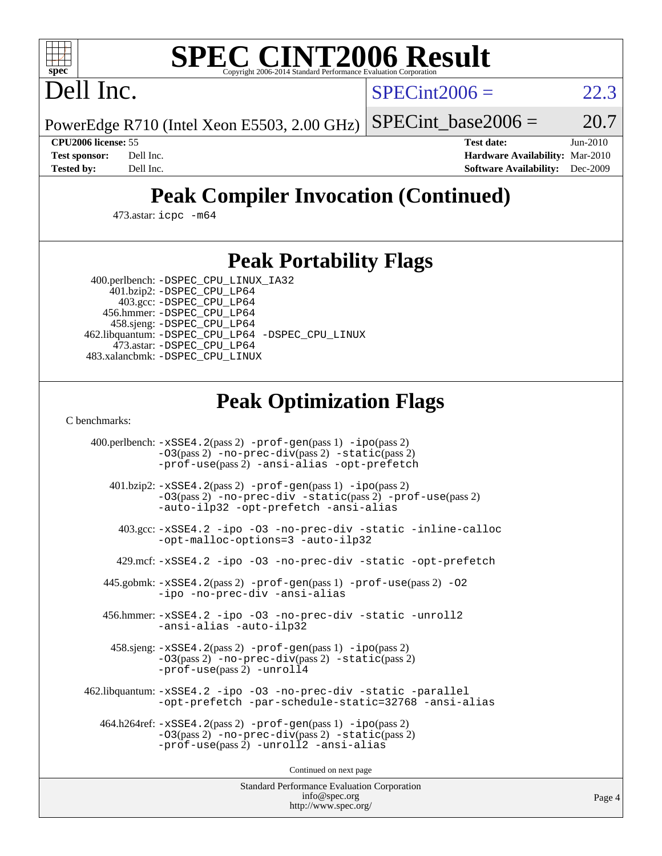

# **[SPEC CINT2006 Result](http://www.spec.org/auto/cpu2006/Docs/result-fields.html#SPECCINT2006Result)**

Dell Inc.

 $SPECint2006 = 22.3$  $SPECint2006 = 22.3$ 

PowerEdge R710 (Intel Xeon E5503, 2.00 GHz) SPECint base2006 =  $20.7$ 

**[CPU2006 license:](http://www.spec.org/auto/cpu2006/Docs/result-fields.html#CPU2006license)** 55 **[Test date:](http://www.spec.org/auto/cpu2006/Docs/result-fields.html#Testdate)** Jun-2010 **[Test sponsor:](http://www.spec.org/auto/cpu2006/Docs/result-fields.html#Testsponsor)** Dell Inc. **[Hardware Availability:](http://www.spec.org/auto/cpu2006/Docs/result-fields.html#HardwareAvailability)** Mar-2010 **[Tested by:](http://www.spec.org/auto/cpu2006/Docs/result-fields.html#Testedby)** Dell Inc. **[Software Availability:](http://www.spec.org/auto/cpu2006/Docs/result-fields.html#SoftwareAvailability)** Dec-2009

## **[Peak Compiler Invocation \(Continued\)](http://www.spec.org/auto/cpu2006/Docs/result-fields.html#PeakCompilerInvocation)**

473.astar: [icpc -m64](http://www.spec.org/cpu2006/results/res2010q3/cpu2006-20100702-12161.flags.html#user_peakCXXLD473_astar_intel_icpc_64bit_fc66a5337ce925472a5c54ad6a0de310)

#### **[Peak Portability Flags](http://www.spec.org/auto/cpu2006/Docs/result-fields.html#PeakPortabilityFlags)**

 400.perlbench: [-DSPEC\\_CPU\\_LINUX\\_IA32](http://www.spec.org/cpu2006/results/res2010q3/cpu2006-20100702-12161.flags.html#b400.perlbench_peakCPORTABILITY_DSPEC_CPU_LINUX_IA32) 401.bzip2: [-DSPEC\\_CPU\\_LP64](http://www.spec.org/cpu2006/results/res2010q3/cpu2006-20100702-12161.flags.html#suite_peakPORTABILITY401_bzip2_DSPEC_CPU_LP64)

 403.gcc: [-DSPEC\\_CPU\\_LP64](http://www.spec.org/cpu2006/results/res2010q3/cpu2006-20100702-12161.flags.html#suite_peakPORTABILITY403_gcc_DSPEC_CPU_LP64) 456.hmmer: [-DSPEC\\_CPU\\_LP64](http://www.spec.org/cpu2006/results/res2010q3/cpu2006-20100702-12161.flags.html#suite_peakPORTABILITY456_hmmer_DSPEC_CPU_LP64) 458.sjeng: [-DSPEC\\_CPU\\_LP64](http://www.spec.org/cpu2006/results/res2010q3/cpu2006-20100702-12161.flags.html#suite_peakPORTABILITY458_sjeng_DSPEC_CPU_LP64) 462.libquantum: [-DSPEC\\_CPU\\_LP64](http://www.spec.org/cpu2006/results/res2010q3/cpu2006-20100702-12161.flags.html#suite_peakPORTABILITY462_libquantum_DSPEC_CPU_LP64) [-DSPEC\\_CPU\\_LINUX](http://www.spec.org/cpu2006/results/res2010q3/cpu2006-20100702-12161.flags.html#b462.libquantum_peakCPORTABILITY_DSPEC_CPU_LINUX) 473.astar: [-DSPEC\\_CPU\\_LP64](http://www.spec.org/cpu2006/results/res2010q3/cpu2006-20100702-12161.flags.html#suite_peakPORTABILITY473_astar_DSPEC_CPU_LP64) 483.xalancbmk: [-DSPEC\\_CPU\\_LINUX](http://www.spec.org/cpu2006/results/res2010q3/cpu2006-20100702-12161.flags.html#b483.xalancbmk_peakCXXPORTABILITY_DSPEC_CPU_LINUX)

## **[Peak Optimization Flags](http://www.spec.org/auto/cpu2006/Docs/result-fields.html#PeakOptimizationFlags)**

[C benchmarks](http://www.spec.org/auto/cpu2006/Docs/result-fields.html#Cbenchmarks):

 400.perlbench: [-xSSE4.2](http://www.spec.org/cpu2006/results/res2010q3/cpu2006-20100702-12161.flags.html#user_peakPASS2_CFLAGSPASS2_LDCFLAGS400_perlbench_f-xSSE42_f91528193cf0b216347adb8b939d4107)(pass 2) [-prof-gen](http://www.spec.org/cpu2006/results/res2010q3/cpu2006-20100702-12161.flags.html#user_peakPASS1_CFLAGSPASS1_LDCFLAGS400_perlbench_prof_gen_e43856698f6ca7b7e442dfd80e94a8fc)(pass 1) [-ipo](http://www.spec.org/cpu2006/results/res2010q3/cpu2006-20100702-12161.flags.html#user_peakPASS2_CFLAGSPASS2_LDCFLAGS400_perlbench_f-ipo)(pass 2) [-O3](http://www.spec.org/cpu2006/results/res2010q3/cpu2006-20100702-12161.flags.html#user_peakPASS2_CFLAGSPASS2_LDCFLAGS400_perlbench_f-O3)(pass 2) [-no-prec-div](http://www.spec.org/cpu2006/results/res2010q3/cpu2006-20100702-12161.flags.html#user_peakPASS2_CFLAGSPASS2_LDCFLAGS400_perlbench_f-no-prec-div)(pass 2) [-static](http://www.spec.org/cpu2006/results/res2010q3/cpu2006-20100702-12161.flags.html#user_peakPASS2_CFLAGSPASS2_LDCFLAGS400_perlbench_f-static)(pass 2) [-prof-use](http://www.spec.org/cpu2006/results/res2010q3/cpu2006-20100702-12161.flags.html#user_peakPASS2_CFLAGSPASS2_LDCFLAGS400_perlbench_prof_use_bccf7792157ff70d64e32fe3e1250b55)(pass 2) [-ansi-alias](http://www.spec.org/cpu2006/results/res2010q3/cpu2006-20100702-12161.flags.html#user_peakCOPTIMIZE400_perlbench_f-ansi-alias) [-opt-prefetch](http://www.spec.org/cpu2006/results/res2010q3/cpu2006-20100702-12161.flags.html#user_peakCOPTIMIZE400_perlbench_f-opt-prefetch) 401.bzip2: [-xSSE4.2](http://www.spec.org/cpu2006/results/res2010q3/cpu2006-20100702-12161.flags.html#user_peakPASS2_CFLAGSPASS2_LDCFLAGS401_bzip2_f-xSSE42_f91528193cf0b216347adb8b939d4107)(pass 2) [-prof-gen](http://www.spec.org/cpu2006/results/res2010q3/cpu2006-20100702-12161.flags.html#user_peakPASS1_CFLAGSPASS1_LDCFLAGS401_bzip2_prof_gen_e43856698f6ca7b7e442dfd80e94a8fc)(pass 1) [-ipo](http://www.spec.org/cpu2006/results/res2010q3/cpu2006-20100702-12161.flags.html#user_peakPASS2_CFLAGSPASS2_LDCFLAGS401_bzip2_f-ipo)(pass 2) [-O3](http://www.spec.org/cpu2006/results/res2010q3/cpu2006-20100702-12161.flags.html#user_peakPASS2_CFLAGSPASS2_LDCFLAGS401_bzip2_f-O3)(pass 2) [-no-prec-div](http://www.spec.org/cpu2006/results/res2010q3/cpu2006-20100702-12161.flags.html#user_peakCOPTIMIZEPASS2_CFLAGSPASS2_LDCFLAGS401_bzip2_f-no-prec-div) [-static](http://www.spec.org/cpu2006/results/res2010q3/cpu2006-20100702-12161.flags.html#user_peakPASS2_CFLAGSPASS2_LDCFLAGS401_bzip2_f-static)(pass 2) [-prof-use](http://www.spec.org/cpu2006/results/res2010q3/cpu2006-20100702-12161.flags.html#user_peakPASS2_CFLAGSPASS2_LDCFLAGS401_bzip2_prof_use_bccf7792157ff70d64e32fe3e1250b55)(pass 2) [-auto-ilp32](http://www.spec.org/cpu2006/results/res2010q3/cpu2006-20100702-12161.flags.html#user_peakCOPTIMIZE401_bzip2_f-auto-ilp32) [-opt-prefetch](http://www.spec.org/cpu2006/results/res2010q3/cpu2006-20100702-12161.flags.html#user_peakCOPTIMIZE401_bzip2_f-opt-prefetch) [-ansi-alias](http://www.spec.org/cpu2006/results/res2010q3/cpu2006-20100702-12161.flags.html#user_peakCOPTIMIZE401_bzip2_f-ansi-alias) 403.gcc: [-xSSE4.2](http://www.spec.org/cpu2006/results/res2010q3/cpu2006-20100702-12161.flags.html#user_peakCOPTIMIZE403_gcc_f-xSSE42_f91528193cf0b216347adb8b939d4107) [-ipo](http://www.spec.org/cpu2006/results/res2010q3/cpu2006-20100702-12161.flags.html#user_peakCOPTIMIZE403_gcc_f-ipo) [-O3](http://www.spec.org/cpu2006/results/res2010q3/cpu2006-20100702-12161.flags.html#user_peakCOPTIMIZE403_gcc_f-O3) [-no-prec-div](http://www.spec.org/cpu2006/results/res2010q3/cpu2006-20100702-12161.flags.html#user_peakCOPTIMIZE403_gcc_f-no-prec-div) [-static](http://www.spec.org/cpu2006/results/res2010q3/cpu2006-20100702-12161.flags.html#user_peakCOPTIMIZE403_gcc_f-static) [-inline-calloc](http://www.spec.org/cpu2006/results/res2010q3/cpu2006-20100702-12161.flags.html#user_peakCOPTIMIZE403_gcc_f-inline-calloc) [-opt-malloc-options=3](http://www.spec.org/cpu2006/results/res2010q3/cpu2006-20100702-12161.flags.html#user_peakCOPTIMIZE403_gcc_f-opt-malloc-options_13ab9b803cf986b4ee62f0a5998c2238) [-auto-ilp32](http://www.spec.org/cpu2006/results/res2010q3/cpu2006-20100702-12161.flags.html#user_peakCOPTIMIZE403_gcc_f-auto-ilp32) 429.mcf: [-xSSE4.2](http://www.spec.org/cpu2006/results/res2010q3/cpu2006-20100702-12161.flags.html#user_peakCOPTIMIZE429_mcf_f-xSSE42_f91528193cf0b216347adb8b939d4107) [-ipo](http://www.spec.org/cpu2006/results/res2010q3/cpu2006-20100702-12161.flags.html#user_peakCOPTIMIZE429_mcf_f-ipo) [-O3](http://www.spec.org/cpu2006/results/res2010q3/cpu2006-20100702-12161.flags.html#user_peakCOPTIMIZE429_mcf_f-O3) [-no-prec-div](http://www.spec.org/cpu2006/results/res2010q3/cpu2006-20100702-12161.flags.html#user_peakCOPTIMIZE429_mcf_f-no-prec-div) [-static](http://www.spec.org/cpu2006/results/res2010q3/cpu2006-20100702-12161.flags.html#user_peakCOPTIMIZE429_mcf_f-static) [-opt-prefetch](http://www.spec.org/cpu2006/results/res2010q3/cpu2006-20100702-12161.flags.html#user_peakCOPTIMIZE429_mcf_f-opt-prefetch) 445.gobmk: [-xSSE4.2](http://www.spec.org/cpu2006/results/res2010q3/cpu2006-20100702-12161.flags.html#user_peakPASS2_CFLAGSPASS2_LDCFLAGS445_gobmk_f-xSSE42_f91528193cf0b216347adb8b939d4107)(pass 2) [-prof-gen](http://www.spec.org/cpu2006/results/res2010q3/cpu2006-20100702-12161.flags.html#user_peakPASS1_CFLAGSPASS1_LDCFLAGS445_gobmk_prof_gen_e43856698f6ca7b7e442dfd80e94a8fc)(pass 1) [-prof-use](http://www.spec.org/cpu2006/results/res2010q3/cpu2006-20100702-12161.flags.html#user_peakPASS2_CFLAGSPASS2_LDCFLAGS445_gobmk_prof_use_bccf7792157ff70d64e32fe3e1250b55)(pass 2) [-O2](http://www.spec.org/cpu2006/results/res2010q3/cpu2006-20100702-12161.flags.html#user_peakCOPTIMIZE445_gobmk_f-O2) [-ipo](http://www.spec.org/cpu2006/results/res2010q3/cpu2006-20100702-12161.flags.html#user_peakCOPTIMIZE445_gobmk_f-ipo) [-no-prec-div](http://www.spec.org/cpu2006/results/res2010q3/cpu2006-20100702-12161.flags.html#user_peakCOPTIMIZE445_gobmk_f-no-prec-div) [-ansi-alias](http://www.spec.org/cpu2006/results/res2010q3/cpu2006-20100702-12161.flags.html#user_peakCOPTIMIZE445_gobmk_f-ansi-alias) 456.hmmer: [-xSSE4.2](http://www.spec.org/cpu2006/results/res2010q3/cpu2006-20100702-12161.flags.html#user_peakCOPTIMIZE456_hmmer_f-xSSE42_f91528193cf0b216347adb8b939d4107) [-ipo](http://www.spec.org/cpu2006/results/res2010q3/cpu2006-20100702-12161.flags.html#user_peakCOPTIMIZE456_hmmer_f-ipo) [-O3](http://www.spec.org/cpu2006/results/res2010q3/cpu2006-20100702-12161.flags.html#user_peakCOPTIMIZE456_hmmer_f-O3) [-no-prec-div](http://www.spec.org/cpu2006/results/res2010q3/cpu2006-20100702-12161.flags.html#user_peakCOPTIMIZE456_hmmer_f-no-prec-div) [-static](http://www.spec.org/cpu2006/results/res2010q3/cpu2006-20100702-12161.flags.html#user_peakCOPTIMIZE456_hmmer_f-static) [-unroll2](http://www.spec.org/cpu2006/results/res2010q3/cpu2006-20100702-12161.flags.html#user_peakCOPTIMIZE456_hmmer_f-unroll_784dae83bebfb236979b41d2422d7ec2) [-ansi-alias](http://www.spec.org/cpu2006/results/res2010q3/cpu2006-20100702-12161.flags.html#user_peakCOPTIMIZE456_hmmer_f-ansi-alias) [-auto-ilp32](http://www.spec.org/cpu2006/results/res2010q3/cpu2006-20100702-12161.flags.html#user_peakCOPTIMIZE456_hmmer_f-auto-ilp32) 458.sjeng: [-xSSE4.2](http://www.spec.org/cpu2006/results/res2010q3/cpu2006-20100702-12161.flags.html#user_peakPASS2_CFLAGSPASS2_LDCFLAGS458_sjeng_f-xSSE42_f91528193cf0b216347adb8b939d4107)(pass 2) [-prof-gen](http://www.spec.org/cpu2006/results/res2010q3/cpu2006-20100702-12161.flags.html#user_peakPASS1_CFLAGSPASS1_LDCFLAGS458_sjeng_prof_gen_e43856698f6ca7b7e442dfd80e94a8fc)(pass 1) [-ipo](http://www.spec.org/cpu2006/results/res2010q3/cpu2006-20100702-12161.flags.html#user_peakPASS2_CFLAGSPASS2_LDCFLAGS458_sjeng_f-ipo)(pass 2) [-O3](http://www.spec.org/cpu2006/results/res2010q3/cpu2006-20100702-12161.flags.html#user_peakPASS2_CFLAGSPASS2_LDCFLAGS458_sjeng_f-O3)(pass 2) [-no-prec-div](http://www.spec.org/cpu2006/results/res2010q3/cpu2006-20100702-12161.flags.html#user_peakPASS2_CFLAGSPASS2_LDCFLAGS458_sjeng_f-no-prec-div)(pass 2) [-static](http://www.spec.org/cpu2006/results/res2010q3/cpu2006-20100702-12161.flags.html#user_peakPASS2_CFLAGSPASS2_LDCFLAGS458_sjeng_f-static)(pass 2) [-prof-use](http://www.spec.org/cpu2006/results/res2010q3/cpu2006-20100702-12161.flags.html#user_peakPASS2_CFLAGSPASS2_LDCFLAGS458_sjeng_prof_use_bccf7792157ff70d64e32fe3e1250b55)(pass 2) [-unroll4](http://www.spec.org/cpu2006/results/res2010q3/cpu2006-20100702-12161.flags.html#user_peakCOPTIMIZE458_sjeng_f-unroll_4e5e4ed65b7fd20bdcd365bec371b81f) 462.libquantum: [-xSSE4.2](http://www.spec.org/cpu2006/results/res2010q3/cpu2006-20100702-12161.flags.html#user_peakCOPTIMIZE462_libquantum_f-xSSE42_f91528193cf0b216347adb8b939d4107) [-ipo](http://www.spec.org/cpu2006/results/res2010q3/cpu2006-20100702-12161.flags.html#user_peakCOPTIMIZE462_libquantum_f-ipo) [-O3](http://www.spec.org/cpu2006/results/res2010q3/cpu2006-20100702-12161.flags.html#user_peakCOPTIMIZE462_libquantum_f-O3) [-no-prec-div](http://www.spec.org/cpu2006/results/res2010q3/cpu2006-20100702-12161.flags.html#user_peakCOPTIMIZE462_libquantum_f-no-prec-div) [-static](http://www.spec.org/cpu2006/results/res2010q3/cpu2006-20100702-12161.flags.html#user_peakCOPTIMIZE462_libquantum_f-static) [-parallel](http://www.spec.org/cpu2006/results/res2010q3/cpu2006-20100702-12161.flags.html#user_peakCOPTIMIZE462_libquantum_f-parallel) [-opt-prefetch](http://www.spec.org/cpu2006/results/res2010q3/cpu2006-20100702-12161.flags.html#user_peakCOPTIMIZE462_libquantum_f-opt-prefetch) [-par-schedule-static=32768](http://www.spec.org/cpu2006/results/res2010q3/cpu2006-20100702-12161.flags.html#user_peakCOPTIMIZE462_libquantum_f-par-schedule_9386bcd99ba64e99ee01d1aafefddd14) [-ansi-alias](http://www.spec.org/cpu2006/results/res2010q3/cpu2006-20100702-12161.flags.html#user_peakCOPTIMIZE462_libquantum_f-ansi-alias) 464.h264ref: [-xSSE4.2](http://www.spec.org/cpu2006/results/res2010q3/cpu2006-20100702-12161.flags.html#user_peakPASS2_CFLAGSPASS2_LDCFLAGS464_h264ref_f-xSSE42_f91528193cf0b216347adb8b939d4107)(pass 2) [-prof-gen](http://www.spec.org/cpu2006/results/res2010q3/cpu2006-20100702-12161.flags.html#user_peakPASS1_CFLAGSPASS1_LDCFLAGS464_h264ref_prof_gen_e43856698f6ca7b7e442dfd80e94a8fc)(pass 1) [-ipo](http://www.spec.org/cpu2006/results/res2010q3/cpu2006-20100702-12161.flags.html#user_peakPASS2_CFLAGSPASS2_LDCFLAGS464_h264ref_f-ipo)(pass 2) [-O3](http://www.spec.org/cpu2006/results/res2010q3/cpu2006-20100702-12161.flags.html#user_peakPASS2_CFLAGSPASS2_LDCFLAGS464_h264ref_f-O3)(pass 2) [-no-prec-div](http://www.spec.org/cpu2006/results/res2010q3/cpu2006-20100702-12161.flags.html#user_peakPASS2_CFLAGSPASS2_LDCFLAGS464_h264ref_f-no-prec-div)(pass 2) [-static](http://www.spec.org/cpu2006/results/res2010q3/cpu2006-20100702-12161.flags.html#user_peakPASS2_CFLAGSPASS2_LDCFLAGS464_h264ref_f-static)(pass 2) [-prof-use](http://www.spec.org/cpu2006/results/res2010q3/cpu2006-20100702-12161.flags.html#user_peakPASS2_CFLAGSPASS2_LDCFLAGS464_h264ref_prof_use_bccf7792157ff70d64e32fe3e1250b55)(pass 2) [-unroll2](http://www.spec.org/cpu2006/results/res2010q3/cpu2006-20100702-12161.flags.html#user_peakCOPTIMIZE464_h264ref_f-unroll_784dae83bebfb236979b41d2422d7ec2) [-ansi-alias](http://www.spec.org/cpu2006/results/res2010q3/cpu2006-20100702-12161.flags.html#user_peakCOPTIMIZE464_h264ref_f-ansi-alias)

Continued on next page

Standard Performance Evaluation Corporation [info@spec.org](mailto:info@spec.org) <http://www.spec.org/>